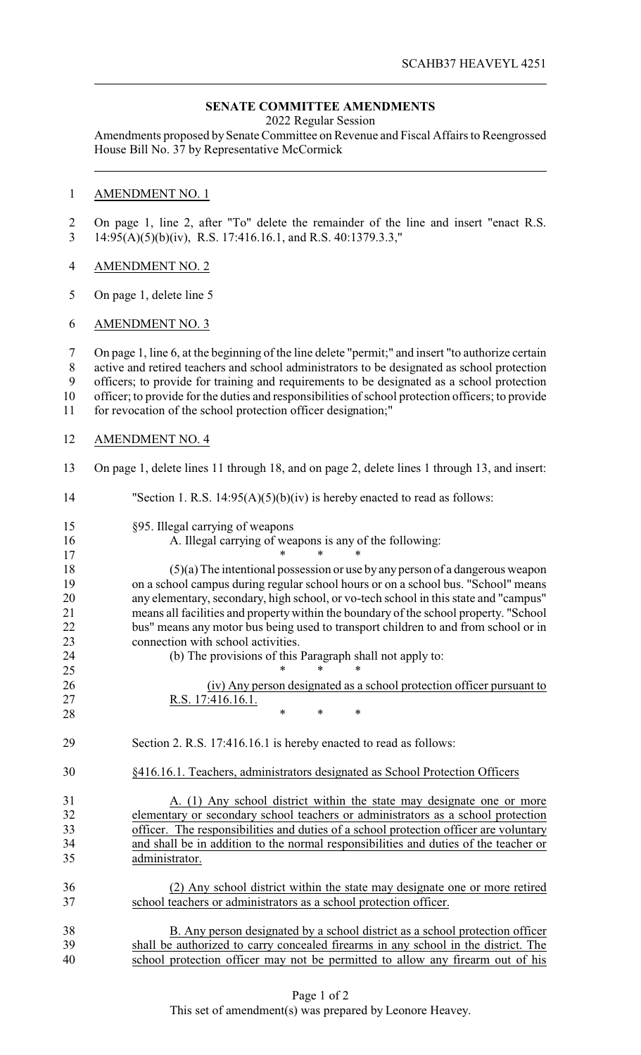# **SENATE COMMITTEE AMENDMENTS**

2022 Regular Session

Amendments proposed by Senate Committee on Revenue and Fiscal Affairs to Reengrossed House Bill No. 37 by Representative McCormick

### AMENDMENT NO. 1

 On page 1, line 2, after "To" delete the remainder of the line and insert "enact R.S. 14:95(A)(5)(b)(iv), R.S. 17:416.16.1, and R.S. 40:1379.3.3,"

# AMENDMENT NO. 2

On page 1, delete line 5

#### AMENDMENT NO. 3

 On page 1, line 6, at the beginning of the line delete "permit;" and insert "to authorize certain active and retired teachers and school administrators to be designated as school protection officers; to provide for training and requirements to be designated as a school protection officer; to provide for the duties and responsibilities of school protection officers; to provide for revocation of the school protection officer designation;"

## AMENDMENT NO. 4

On page 1, delete lines 11 through 18, and on page 2, delete lines 1 through 13, and insert:

# 14 "Section 1. R.S. 14:95(A)(5)(b)(iv) is hereby enacted to read as follows: §95. Illegal carrying of weapons A. Illegal carrying of weapons is any of the following: 17 \* \* \* \* (5)(a) The intentional possession or use by anyperson of a dangerous weapon on a school campus during regular school hours or on a school bus. "School" means any elementary, secondary, high school, or vo-tech school in this state and "campus" means all facilities and property within the boundary of the school property. "School bus" means any motor bus being used to transport children to and from school or in 23 connection with school activities. (b) The provisions of this Paragraph shall not apply to: 25 \* \* \* \* (iv) Any person designated as a school protection officer pursuant to R.S. 17:416.16.1. **\*** \* \* \* Section 2. R.S. 17:416.16.1 is hereby enacted to read as follows: §416.16.1. Teachers, administrators designated as School Protection Officers 31 A. (1) Any school district within the state may designate one or more elementary or secondary school teachers or administrators as a school protection officer. The responsibilities and duties of a school protection officer are voluntary and shall be in addition to the normal responsibilities and duties of the teacher or administrator. (2) Any school district within the state may designate one or more retired school teachers or administrators as a school protection officer. B. Any person designated by a school district as a school protection officer shall be authorized to carry concealed firearms in any school in the district. The school protection officer may not be permitted to allow any firearm out of his

#### Page 1 of 2 This set of amendment(s) was prepared by Leonore Heavey.